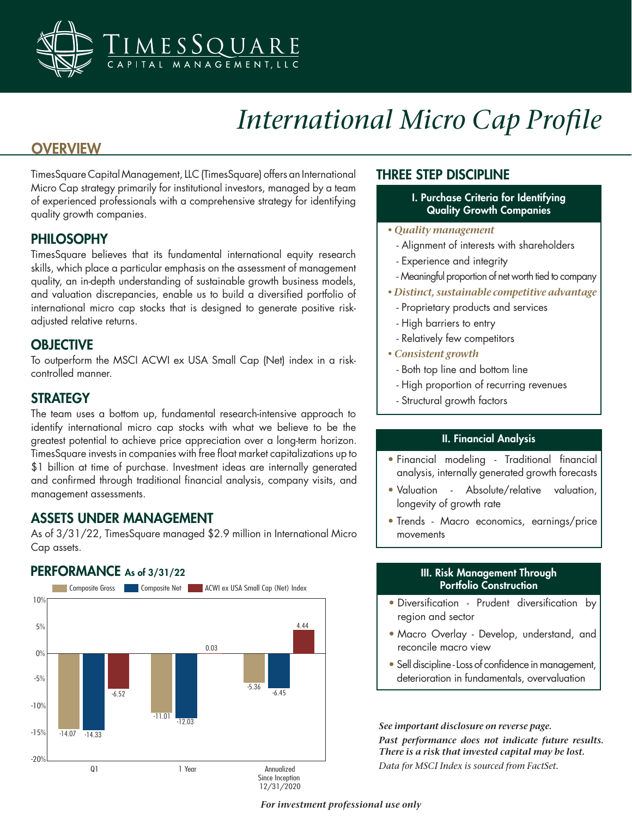

# *International Micro Cap Profile*

# **OVERVIEW**

TimesSquare Capital Management, LLC (TimesSquare) offers an International Micro Cap strategy primarily for institutional investors, managed by a team of experienced professionals with a comprehensive strategy for identifying quality growth companies.

#### PHILOSOPHY

TimesSquare believes that its fundamental international equity research skills, which place a particular emphasis on the assessment of management quality, an in-depth understanding of sustainable growth business models, and valuation discrepancies, enable us to build a diversified portfolio of international micro cap stocks that is designed to generate positive riskadjusted relative returns.

## **OBJECTIVE**

To outperform the MSCI ACWI ex USA Small Cap (Net) index in a riskcontrolled manner.

#### **STRATEGY**

The team uses a bottom up, fundamental research-intensive approach to identify international micro cap stocks with what we believe to be the greatest potential to achieve price appreciation over a long-term horizon. TimesSquare invests in companies with free float market capitalizations up to \$1 billion at time of purchase. Investment ideas are internally generated and confirmed through traditional financial analysis, company visits, and management assessments.

## ASSETS UNDER MANAGEMENT

As of 3/31/22, TimesSquare managed \$2.9 million in International Micro Cap assets.

#### PERFORMANCE As of 3/31/22



#### THREE STEP DISCIPLINE

- I. Purchase Criteria for Identifying Quality Growth Companies
- *Quality management*
	- Alignment of interests with shareholders
	- Experience and integrity
	- Meaningful proportion of net worth tied to company
- *Distinct, sustainable competitive advantage*
	- Proprietary products and services
	- High barriers to entry
	- Relatively few competitors
- *Consistent growth*
	- Both top line and bottom line
	- High proportion of recurring revenues
	- Structural growth factors

#### II. Financial Analysis

- Financial modeling Traditional financial analysis, internally generated growth forecasts
- Valuation Absolute/relative valuation, longevity of growth rate
- Trends Macro economics, earnings/price movements

#### III. Risk Management Through Portfolio Construction

- Diversification Prudent diversification by region and sector
- Macro Overlay Develop, understand, and reconcile macro view
- Sell discipline Loss of confidence in management, deterioration in fundamentals, overvaluation

*See important disclosure on reverse page. Past performance does not indicate future results. There is a risk that invested capital may be lost. Data for MSCI Index is sourced from FactSet.*

*For investment professional use only*